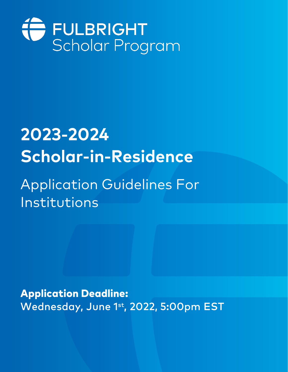

# 2023-2024 **Scholar-in-Residence**

## **Application Guidelines For** Institutions

**Application Deadline:** Wednesday, June 1st, 2022, 5:00pm EST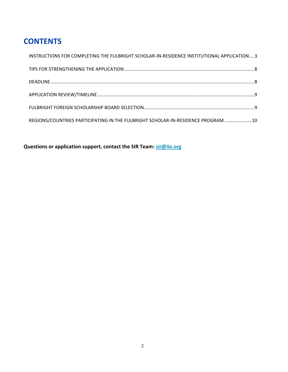## **CONTENTS**

| INSTRUCTIONS FOR COMPLETING THE FULBRIGHT SCHOLAR-IN-RESIDENCE INSTITUTIONAL APPLICATION3 |  |
|-------------------------------------------------------------------------------------------|--|
|                                                                                           |  |
|                                                                                           |  |
|                                                                                           |  |
|                                                                                           |  |
| REGIONS/COUNTRIES PARTICIPATING IN THE FULBRIGHT SCHOLAR-IN-RESIDENCE PROGRAM  10         |  |

**Questions or application support, contact the SIR Team: [sir@iie.org](mailto:sir@iie.org)**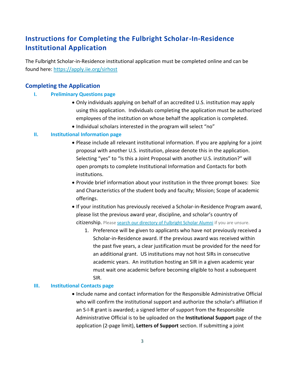## <span id="page-2-0"></span>**Instructions for Completing the Fulbright Scholar-In-Residence Institutional Application**

The Fulbright Scholar-in-Residence institutional application must be completed online and can be found here: [https://apply.iie.org/sirhost](https://nam01.safelinks.protection.outlook.com/?url=https%3A%2F%2Fapply.iie.org%2Fsirhost&data=02%7C01%7CSCauser%40iie.org%7Ca3c3599995c44cfeb83d08d6a96fc0df%7C9553a3e2181944e2bbc7c78ac77d22a3%7C0%7C0%7C636882694778826890&sdata=DfkD71rcXhdyIH5glizNZeKcnbXcIkmIpq3xqO9pgqA%3D&reserved=0)

## **Completing the Application**

## **I. Preliminary Questions page**

- Only individuals applying on behalf of an accredited U.S. institution may apply using this application. Individuals completing the application must be authorized employees of the institution on whose behalf the application is completed.
- Individual scholars interested in the program will select "no"

## **II. Institutional Information page**

- Please include all relevant institutional information. If you are applying for a joint proposal with another U.S. institution, please denote this in the application. Selecting "yes" to "Is this a Joint Proposal with another U.S. institution?" will open prompts to complete Institutional Information and Contacts for both institutions.
- Provide brief information about your institution in the three prompt boxes: Size and Characteristics of the student body and faculty; Mission; Scope of academic offerings.
- If your institution has previously received a Scholar-in-Residence Program award, please list the previous award year, discipline, and scholar's country of citizenship. Please [search our directory of Fulbright Scholar Alumni](https://cies.org/fulbright-scholar-directory) if you are unsure.
	- 1. Preference will be given to applicants who have not previously received a Scholar-in-Residence award. If the previous award was received within the past five years, a clear justification must be provided for the need for an additional grant. US institutions may not host SIRs in consecutive academic years. An institution hosting an SIR in a given academic year must wait one academic before becoming eligible to host a subsequent SIR.

#### **III. Institutional Contacts page**

• Include name and contact information for the Responsible Administrative Official who will confirm the institutional support and authorize the scholar's affiliation if an S-I-R grant is awarded; a signed letter of support from the Responsible Administrative Official is to be uploaded on the **Institutional Support** page of the application (2-page limit), **Letters of Support** section. If submitting a joint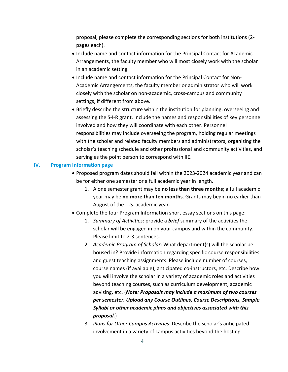proposal, please complete the corresponding sections for both institutions (2 pages each).

- Include name and contact information for the Principal Contact for Academic Arrangements, the faculty member who will most closely work with the scholar in an academic setting.
- Include name and contact information for the Principal Contact for Non-Academic Arrangements, the faculty member or administrator who will work closely with the scholar on non-academic, cross-campus and community settings, if different from above.
- Briefly describe the structure within the institution for planning, overseeing and assessing the S-I-R grant. Include the names and responsibilities of key personnel involved and how they will coordinate with each other. Personnel responsibilities may include overseeing the program, holding regular meetings with the scholar and related faculty members and administrators, organizing the scholar's teaching schedule and other professional and community activities, and serving as the point person to correspond with IIE.

#### **IV. Program Information page**

- Proposed program dates should fall within the 2023-2024 academic year and can be for either one semester or a full academic year in length.
	- 1. A one semester grant may be **no less than three months**; a full academic year may be **no more than ten months**. Grants may begin no earlier than August of the U.S. academic year.
- Complete the four Program Information short essay sections on this page:
	- 1. *Summary of Activities*: provide a *brief* summary of the activities the scholar will be engaged in on your campus and within the community. Please limit to 2-3 sentences.
	- 2. *Academic Program of Scholar*: What department(s) will the scholar be housed in? Provide information regarding specific course responsibilities and guest teaching assignments. Please include number of courses, course names (if available), anticipated co-instructors, etc. Describe how you will involve the scholar in a variety of academic roles and activities beyond teaching courses, such as curriculum development, academic advising, etc. (*Note: Proposals may include a maximum of two courses per semester. Upload any Course Outlines, Course Descriptions, Sample Syllabi or other academic plans and objectives associated with this proposal.*)
	- 3. *Plans for Other Campus Activities*: Describe the scholar's anticipated involvement in a variety of campus activities beyond the hosting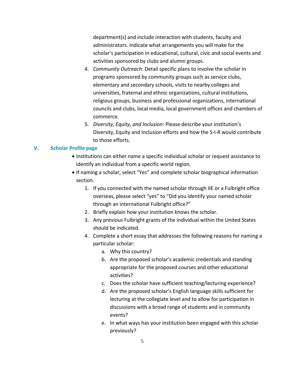department(s) and include interaction with students, faculty and administrators. Indicate what arrangements you will make for the scholar's participation in educational, cultural, civic and social events and activities sponsored by clubs and alumni groups.

- 4. *Community Outreach*: Detail specific plans to involve the scholar in programs sponsored by community groups such as service clubs, elementary and secondary schools, visits to nearby colleges and universities, fraternal and ethnic organizations, cultural institutions, religious groups, business and professional organizations, international councils and clubs, local media, local government offices and chambers of commerce.
- 5. *Diversity, Equity, and Inclusion*: Please describe your institution's Diversity, Equity and Inclusion efforts and how the S-I-R would contribute to those efforts.

#### **V. Scholar Profile page**

- Institutions can either name a specific individual scholar or request assistance to identify an individual from a specific world region.
- If naming a scholar, select "Yes" and complete scholar biographical information section.
	- 1. If you connected with the named scholar through IIE or a Fulbright office overseas, please select "yes" to "Did you identify your named scholar through an international Fulbright office?"
	- 2. Briefly explain how your institution knows the scholar.
	- 3. Any previous Fulbright grants of the individual within the United States should be indicated.
	- 4. Complete a short essay that addresses the following reasons for naming a particular scholar:
		- a. Why this country?
		- b. Are the proposed scholar's academic credentials and standing appropriate for the proposed courses and other educational activities?
		- c. Does the scholar have sufficient teaching/lecturing experience?
		- d. Are the proposed scholar's English language skills sufficient for lecturing at the collegiate level and to allow for participation in discussions with a broad range of students and in community events?
		- e. In what ways has your institution been engaged with this scholar previously?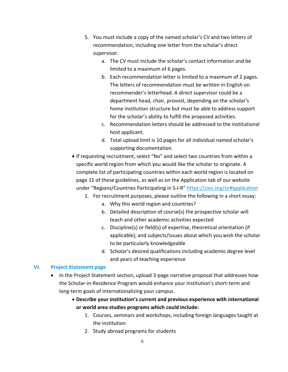- 5. You must include a copy of the named scholar's CV and two letters of recommendation, including one letter from the scholar's direct supervisor.
	- a. The CV must include the scholar's contact information and be limited to a maximum of 6 pages.
	- b. Each recommendation letter is limited to a maximum of 2 pages. The letters of recommendation must be written in English on recommender's letterhead. A direct supervisor could be a department head, chair, provost, depending on the scholar's home institution structure but must be able to address support for the scholar's ability to fulfill the proposed activities.
	- c. Recommendation letters should be addressed to the institutional host applicant.
	- d. Total upload limit is 10 pages for all individual named scholar's supporting documentation.
- If requesting recruitment, select "No" and select two countries from within a specific world region from which you would like the scholar to originate. A complete list of participating countries within each world region is located on page 11 of these guidelines, as well as on the Application tab of our website under "Regions/Countries Participating in S-I-R" [https://cies.org/sir#application](https://cies.org/sir%23application)
	- 1. For recruitment purposes, please outline the following in a short essay:
		- a. Why this world region and countries?
		- b. Detailed description of course(s) the prospective scholar will teach and other academic activities expected
		- c. Discipline(s) or field(s) of expertise, theoretical orientation (if applicable), and subjects/issues about which you wish the scholar to be particularly knowledgeable
		- d. Scholar's desired qualifications including academic degree level and years of teaching experience

#### **VI. Project Statement page**

- In the Project Statement section, upload 3-page narrative proposal that addresses how the Scholar-in-Residence Program would enhance your institution's short-term and long-term goals of internationalizing your campus.
	- **Describe your institution's current and previous experience with international or world area studies programs which could include:**
		- 1. Courses, seminars and workshops, including foreign languages taught at the institution
		- 2. Study abroad programs for students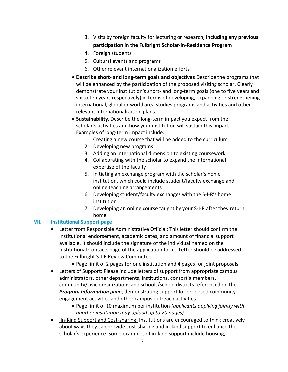- 3. Visits by foreign faculty for lecturing or research, **including any previous participation in the Fulbright Scholar-in-Residence Program**
- 4. Foreign students
- 5. Cultural events and programs
- 6. Other relevant internationalization efforts
- **Describe short- and long-term goals and objectives** Describe the programs that will be enhanced by the participation of the proposed visiting scholar. Clearly demonstrate your institution's short- and long-term goals (one to five years and six to ten years respectively) in terms of developing, expanding or strengthening international, global or world area studies programs and activities and other relevant internationalization plans.
- **Sustainability**. Describe the long-term impact you expect from the scholar's activities and how your institution will sustain this impact. Examples of long-term impact include:
	- 1. Creating a new course that will be added to the curriculum
	- 2. Developing new programs
	- 3. Adding an international dimension to existing coursework
	- 4. Collaborating with the scholar to expand the international expertise of the faculty
	- 5. Initiating an exchange program with the scholar's home institution, which could include student/faculty exchange and online teaching arrangements
	- 6. Developing student/faculty exchanges with the S-I-R's home institution
	- 7. Developing an online course taught by your S-I-R after they return home

## **VII. Institutional Support page**

- Letter from Responsible Administrative Official: This letter should confirm the institutional endorsement, academic dates, and amount of financial support available. It should include the signature of the individual named on the Institutional Contacts page of the application form. Letter should be addressed to the Fulbright S-I-R Review Committee.
	- Page limit of 2 pages for one institution and 4 pages for joint proposals
- Letters of Support: Please include letters of support from appropriate campus administrators, other departments, institutions, consortia members, community/civic organizations and schools/school districts referenced on the *Program Information page*, demonstrating support for proposed community engagement activities and other campus outreach activities.
	- Page limit of 10 maximum per institution *(applicants applying jointly with another institution may upload up to 20 pages)*
- In-Kind Support and Cost-sharing: Institutions are encouraged to think creatively about ways they can provide cost-sharing and in-kind support to enhance the scholar's experience. Some examples of in-kind support include housing,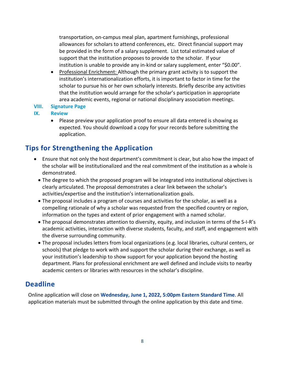transportation, on-campus meal plan, apartment furnishings, professional allowances for scholars to attend conferences, etc. Direct financial support may be provided in the form of a salary supplement. List total estimated value of support that the institution proposes to provide to the scholar. If your institution is unable to provide any in-kind or salary supplement, enter "\$0.00".

- Professional Enrichment: Although the primary grant activity is to support the institution's internationalization efforts, it is important to factor in time for the scholar to pursue his or her own scholarly interests. Briefly describe any activities that the institution would arrange for the scholar's participation in appropriate area academic events, regional or national disciplinary association meetings.
- **VIII. Signature Page**

## **IX. Review**

• Please preview your application proof to ensure all data entered is showing as expected. You should download a copy for your records before submitting the application.

## <span id="page-7-0"></span>**Tips for Strengthening the Application**

- Ensure that not only the host department's commitment is clear, but also how the impact of the scholar will be institutionalized and the real commitment of the institution as a whole is demonstrated.
	- The degree to which the proposed program will be integrated into institutional objectives is clearly articulated. The proposal demonstrates a clear link between the scholar's activities/expertise and the institution's internationalization goals.
	- The proposal includes a program of courses and activities for the scholar, as well as a compelling rationale of why a scholar was requested from the specified country or region, information on the types and extent of prior engagement with a named scholar.
	- The proposal demonstrates attention to diversity, equity, and inclusion in terms of the S-I-R's academic activities, interaction with diverse students, faculty, and staff, and engagement with the diverse surrounding community.
	- The proposal includes letters from local organizations (e.g. local libraries, cultural centers, or schools) that pledge to work with and support the scholar during their exchange, as well as your institution's leadership to show support for your application beyond the hosting department. Plans for professional enrichment are well defined and include visits to nearby academic centers or libraries with resources in the scholar's discipline.

## <span id="page-7-1"></span>**Deadline**

<span id="page-7-2"></span>Online application will close on **Wednesday, June 1, 2022, 5:00pm Eastern Standard Time**. All application materials must be submitted through the online application by this date and time.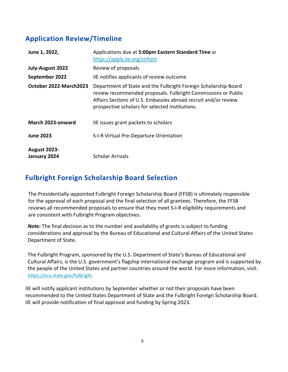## **Application Review/Timeline**

| June 1, 2022,                       | Applications due at 5:00pm Eastern Standard Time at<br>https://apply.iie.org/sirhost                                                                                                                                                                   |
|-------------------------------------|--------------------------------------------------------------------------------------------------------------------------------------------------------------------------------------------------------------------------------------------------------|
| July-August 2022                    | Review of proposals                                                                                                                                                                                                                                    |
| September 2022                      | IIE notifies applicants of review outcome                                                                                                                                                                                                              |
| October 2022-March2023              | Department of State and the Fulbright Foreign Scholarship Board<br>review recommended proposals. Fulbright Commissions or Public<br>Affairs Sections of U.S. Embassies abroad recruit and/or review<br>prospective scholars for selected institutions. |
| March 2023-onward                   | IIE issues grant packets to scholars                                                                                                                                                                                                                   |
| <b>June 2023</b>                    | S-I-R Virtual Pre-Departure Orientation                                                                                                                                                                                                                |
| <b>August 2023-</b><br>January 2024 | <b>Scholar Arrivals</b>                                                                                                                                                                                                                                |

## <span id="page-8-0"></span>**Fulbright Foreign Scholarship Board Selection**

The Presidentially-appointed Fulbright Foreign Scholarship Board (FFSB) is ultimately responsible for the approval of each proposal and the final selection of all grantees. Therefore, the FFSB reviews all recommended proposals to ensure that they meet S-I-R eligibility requirements and are consistent with Fulbright Program objectives.

*Note:* The final decision as to the number and availability of grants is subject to funding considerations and approval by the Bureau of Educational and Cultural Affairs of the United States Department of State.

The Fulbright Program, sponsored by the U.S. Department of State's Bureau of Educational and Cultural Affairs, is the U.S. government's flagship international exchange program and is supported by the people of the United States and partner countries around the world. For more information, visit: <https://eca.state.gov/fulbright>.

IIE will notify applicant institutions by September whether or not their proposals have been recommended to the United States Department of State and the Fulbright Foreign Scholarship Board. IIE will provide notification of final approval and funding by Spring 2023.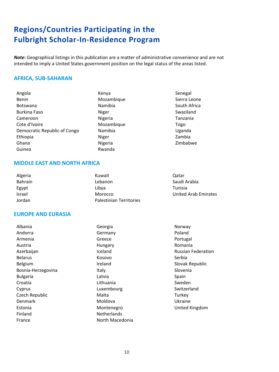## <span id="page-9-0"></span>**Regions/Countries Participating in the Fulbright Scholar-In-Residence Program**

*Note***:** Geographical listings in this publication are a matter of administrative convenience and are not intended to imply a United States government position on the legal status of the areas listed.

## **AFRICA, SUB-SAHARAN**

| Angola                       | Kenya      | Senegal      |
|------------------------------|------------|--------------|
| <b>Benin</b>                 | Mozambique | Sierra Leone |
| <b>Botswana</b>              | Namibia    | South Africa |
| <b>Burkina Faso</b>          | Niger      | Swaziland    |
| Cameroon                     | Nigeria    | Tanzania     |
| Cote d'Ivoire                | Mozambique | Togo         |
| Democratic Republic of Congo | Namibia    | Uganda       |
| Ethiopia                     | Niger      | Zambia       |
| Ghana                        | Nigeria    | Zimbabwe     |
| Guinea                       | Rwanda     |              |

#### **MIDDLE EAST AND NORTH AFRICA**

| Algeria        | Kuwait                         | Qatar                |
|----------------|--------------------------------|----------------------|
| <b>Bahrain</b> | Lebanon                        | Saudi Arabia         |
| Egypt          | Libva                          | Tunisia              |
| <b>Israel</b>  | Morocco                        | United Arab Emirates |
| Jordan         | <b>Palestinian Territories</b> |                      |
|                |                                |                      |

## **EUROPE AND EURASIA**

| Georgia            | Norway                    |
|--------------------|---------------------------|
| Germany            | Poland                    |
| Greece             | Portugal                  |
| Hungary            | Romania                   |
| Iceland            | <b>Russian Federation</b> |
| Kosovo             | Serbia                    |
| Ireland            | Slovak Republic           |
| Italy              | Slovenia                  |
| Latvia             | Spain                     |
| Lithuania          | Sweden                    |
| Luxembourg         | Switzerland               |
| Malta              | Turkey                    |
| Moldova            | Ukraine                   |
| Montenegro         | United Kingdom            |
| <b>Netherlands</b> |                           |
| North Macedonia    |                           |
|                    |                           |